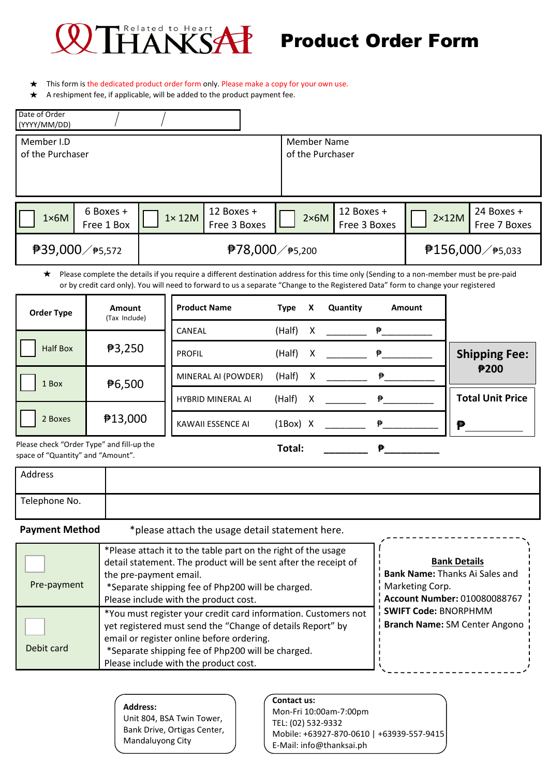

## Product Order Form

- This form is the dedicated product order form only. Please make a copy for your own use. ★
- $\star$ A reshipment fee, if applicable, will be added to the product payment fee.

| Date of Order<br>(YYYY/MM/DD)  |                              |                |                             |                                 |                            |              |                                  |
|--------------------------------|------------------------------|----------------|-----------------------------|---------------------------------|----------------------------|--------------|----------------------------------|
| Member I.D<br>of the Purchaser |                              |                |                             | Member Name<br>of the Purchaser |                            |              |                                  |
| $1\times 6M$                   | 6 Boxes +<br>Free 1 Box      | $1 \times 12M$ | 12 Boxes +<br>Free 3 Boxes  | $2\times 6M$                    | 12 Boxes +<br>Free 3 Boxes | $2\times12M$ | 24 Boxes +<br>Free 7 Boxes       |
|                                | <sup>₹</sup> 39,000 / ₹5,572 |                | <sup>₹78,000 /</sup> *5,200 |                                 |                            |              | <b>₱156,000</b> / <b>₱</b> 5,033 |

Please complete the details if you require a different destination address for this time only (Sending to a non-member must be pre-paid  $\star$ or by credit card only). You will need to forward to us a separate "Change to the Registered Data" form to change your registered

| <b>Order Type</b>                         | <b>Amount</b><br>(Tax Include) | <b>Product Name</b>      | <b>Type</b> | X | Quantity                                   | <b>Amount</b>                                 |                         |
|-------------------------------------------|--------------------------------|--------------------------|-------------|---|--------------------------------------------|-----------------------------------------------|-------------------------|
|                                           |                                | CANEAL                   | $(Half)$ X  |   |                                            | <b>Production of Production Production</b>    |                         |
| <b>Half Box</b>                           | 73,250                         | <b>PROFIL</b>            |             |   |                                            | $\mathbf{P}$ . The set of $\mathbf{P}$        | <b>Shipping Fee:</b>    |
| 1 Box                                     | ₱6,500                         | MINERAL AI (POWDER)      |             |   | (Half) $X$ $\qquad \qquad \mathbf{P}$      |                                               | ₱200                    |
|                                           |                                | <b>HYBRID MINERAL AI</b> | $(Half)$ X  |   | <b>Production of Production Production</b> |                                               | <b>Total Unit Price</b> |
|                                           |                                |                          |             |   |                                            |                                               |                         |
| 2 Boxes                                   | ₱13,000                        | KAWAII ESSENCE AI        |             |   |                                            | $(1\text{Box})$ X $\qquad \qquad \Rightarrow$ | ₱                       |
| Please check "Order Type" and fill-up the |                                |                          | Total:      |   |                                            | ₱                                             |                         |

space of "Quantity" and "Amount".

| Address       |  |
|---------------|--|
| Telephone No. |  |

**Payment Method** \* \* \* \* please attach the usage detail statement here.

| Pre-payment | *Please attach it to the table part on the right of the usage<br>detail statement. The product will be sent after the receipt of<br>the pre-payment email.<br>*Separate shipping fee of Php200 will be charged.<br>Please include with the product cost.                | <b>Bank Details</b><br>Bank Name: Thanks Ai Sales and<br>Marketing Corp.<br>Account Number: 010080088767 |
|-------------|-------------------------------------------------------------------------------------------------------------------------------------------------------------------------------------------------------------------------------------------------------------------------|----------------------------------------------------------------------------------------------------------|
| Debit card  | *You must register your credit card information. Customers not<br>yet registered must send the "Change of details Report" by<br>email or register online before ordering.<br>*Separate shipping fee of Php200 will be charged.<br>Please include with the product cost. | SWIFT Code: BNORPHMM<br>Branch Name: SM Center Angono                                                    |

**Address:**  Unit 804, BSA Twin Tower, Bank Drive, Ortigas Center, Mandaluyong City

**Contact us:** Mon-Fri 10:00am-7:00pm TEL: (02) 532-9332 Mobile: +63927-870-0610 | +63939-557-9415 E-Mail: info@thanksai.ph

\_\_\_\_\_\_\_\_\_\_\_\_\_\_\_\_\_